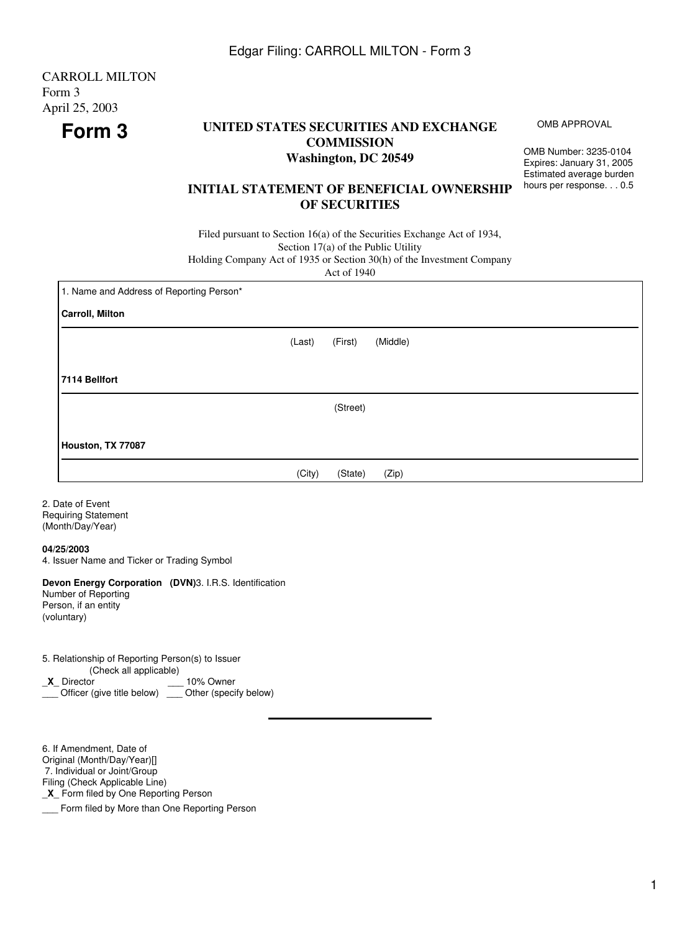## **Form 3 UNITED STATES SECURITIES AND EXCHANGE COMMISSION Washington, DC 20549**

OMB Number: 3235-0104 Expires: January 31, 2005 Estimated average burden hours per response. . . 0.5

OMB APPROVAL

## **INITIAL STATEMENT OF BENEFICIAL OWNERSHIP OF SECURITIES**

Filed pursuant to Section 16(a) of the Securities Exchange Act of 1934, Section 17(a) of the Public Utility

Holding Company Act of 1935 or Section 30(h) of the Investment Company

Act of 1940

| 1. Name and Address of Reporting Person* |        |          |          |
|------------------------------------------|--------|----------|----------|
| <b>Carroll, Milton</b>                   |        |          |          |
|                                          | (Last) | (First)  | (Middle) |
| 7114 Bellfort                            |        |          |          |
|                                          |        | (Street) |          |
| Houston, TX 77087                        |        |          |          |
|                                          | (City) | (State)  | (Zip)    |

2. Date of Event Requiring Statement (Month/Day/Year)

**04/25/2003**

4. Issuer Name and Ticker or Trading Symbol

**Devon Energy Corporation (DVN)**3. I.R.S. Identification Number of Reporting

Person, if an entity (voluntary)

5. Relationship of Reporting Person(s) to Issuer (Check all applicable) \_**X**\_ Director \_\_\_ 10% Owner

\_\_\_ Officer (give title below) \_\_\_ Other (specify below)

6. If Amendment, Date of Original (Month/Day/Year)[] 7. Individual or Joint/Group Filing (Check Applicable Line) \_**X**\_ Form filed by One Reporting Person

**EXECUTE:** Form filed by More than One Reporting Person